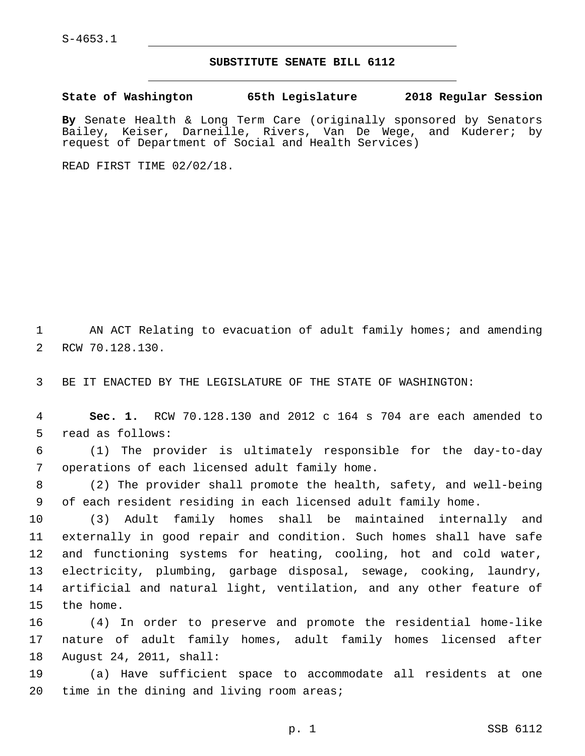S-4653.1

## **SUBSTITUTE SENATE BILL 6112**

**State of Washington 65th Legislature 2018 Regular Session**

**By** Senate Health & Long Term Care (originally sponsored by Senators Bailey, Keiser, Darneille, Rivers, Van De Wege, and Kuderer; by request of Department of Social and Health Services)

READ FIRST TIME 02/02/18.

1 AN ACT Relating to evacuation of adult family homes; and amending 2 RCW 70.128.130.

3 BE IT ENACTED BY THE LEGISLATURE OF THE STATE OF WASHINGTON:

4 **Sec. 1.** RCW 70.128.130 and 2012 c 164 s 704 are each amended to 5 read as follows:

6 (1) The provider is ultimately responsible for the day-to-day 7 operations of each licensed adult family home.

8 (2) The provider shall promote the health, safety, and well-being 9 of each resident residing in each licensed adult family home.

 (3) Adult family homes shall be maintained internally and externally in good repair and condition. Such homes shall have safe and functioning systems for heating, cooling, hot and cold water, electricity, plumbing, garbage disposal, sewage, cooking, laundry, artificial and natural light, ventilation, and any other feature of 15 the home.

16 (4) In order to preserve and promote the residential home-like 17 nature of adult family homes, adult family homes licensed after 18 August 24, 2011, shall:

19 (a) Have sufficient space to accommodate all residents at one 20 time in the dining and living room areas;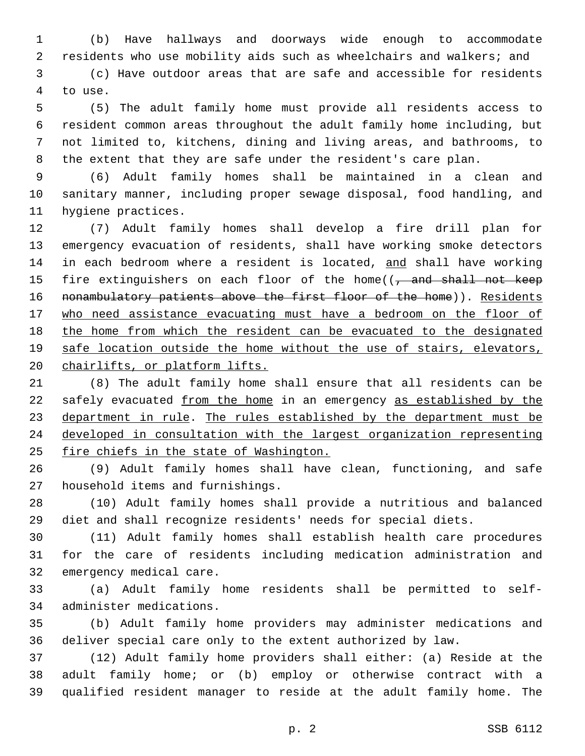(b) Have hallways and doorways wide enough to accommodate residents who use mobility aids such as wheelchairs and walkers; and

 (c) Have outdoor areas that are safe and accessible for residents 4 to use.

 (5) The adult family home must provide all residents access to resident common areas throughout the adult family home including, but not limited to, kitchens, dining and living areas, and bathrooms, to the extent that they are safe under the resident's care plan.

 (6) Adult family homes shall be maintained in a clean and sanitary manner, including proper sewage disposal, food handling, and 11 hygiene practices.

 (7) Adult family homes shall develop a fire drill plan for emergency evacuation of residents, shall have working smoke detectors 14 in each bedroom where a resident is located, and shall have working 15 fire extinguishers on each floor of the home((, and shall not keep 16 nonambulatory patients above the first floor of the home)). Residents who need assistance evacuating must have a bedroom on the floor of the home from which the resident can be evacuated to the designated 19 safe location outside the home without the use of stairs, elevators, chairlifts, or platform lifts.

 (8) The adult family home shall ensure that all residents can be 22 safely evacuated from the home in an emergency as established by the 23 department in rule. The rules established by the department must be developed in consultation with the largest organization representing 25 fire chiefs in the state of Washington.

 (9) Adult family homes shall have clean, functioning, and safe 27 household items and furnishings.

 (10) Adult family homes shall provide a nutritious and balanced diet and shall recognize residents' needs for special diets.

 (11) Adult family homes shall establish health care procedures for the care of residents including medication administration and 32 emergency medical care.

 (a) Adult family home residents shall be permitted to self-34 administer medications.

 (b) Adult family home providers may administer medications and deliver special care only to the extent authorized by law.

 (12) Adult family home providers shall either: (a) Reside at the adult family home; or (b) employ or otherwise contract with a qualified resident manager to reside at the adult family home. The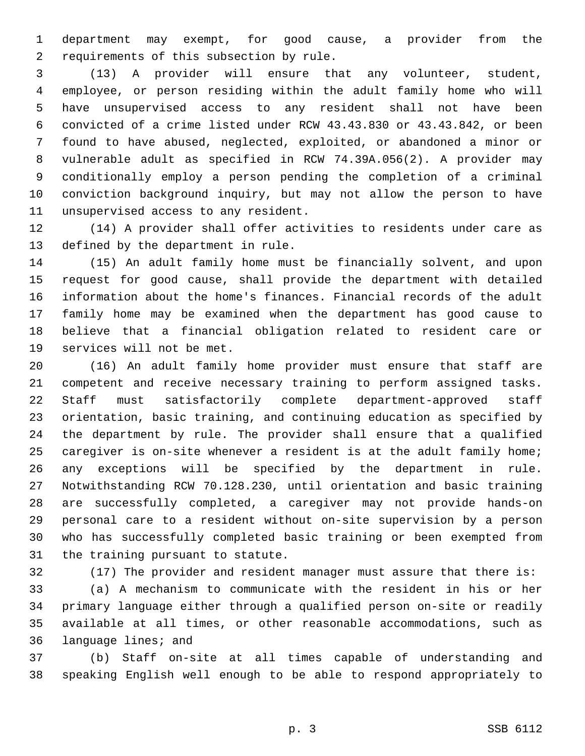department may exempt, for good cause, a provider from the 2 requirements of this subsection by rule.

 (13) A provider will ensure that any volunteer, student, employee, or person residing within the adult family home who will have unsupervised access to any resident shall not have been convicted of a crime listed under RCW 43.43.830 or 43.43.842, or been found to have abused, neglected, exploited, or abandoned a minor or vulnerable adult as specified in RCW 74.39A.056(2). A provider may conditionally employ a person pending the completion of a criminal conviction background inquiry, but may not allow the person to have 11 unsupervised access to any resident.

 (14) A provider shall offer activities to residents under care as 13 defined by the department in rule.

 (15) An adult family home must be financially solvent, and upon request for good cause, shall provide the department with detailed information about the home's finances. Financial records of the adult family home may be examined when the department has good cause to believe that a financial obligation related to resident care or 19 services will not be met.

 (16) An adult family home provider must ensure that staff are competent and receive necessary training to perform assigned tasks. Staff must satisfactorily complete department-approved staff orientation, basic training, and continuing education as specified by the department by rule. The provider shall ensure that a qualified caregiver is on-site whenever a resident is at the adult family home; any exceptions will be specified by the department in rule. Notwithstanding RCW 70.128.230, until orientation and basic training are successfully completed, a caregiver may not provide hands-on personal care to a resident without on-site supervision by a person who has successfully completed basic training or been exempted from 31 the training pursuant to statute.

(17) The provider and resident manager must assure that there is:

 (a) A mechanism to communicate with the resident in his or her primary language either through a qualified person on-site or readily available at all times, or other reasonable accommodations, such as 36 language lines; and

 (b) Staff on-site at all times capable of understanding and speaking English well enough to be able to respond appropriately to